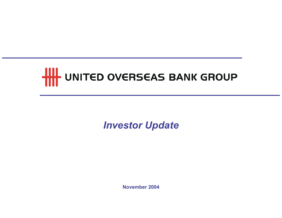# **THE UNITED OVERSEAS BANK GROUP**

# Investor Update

November 2004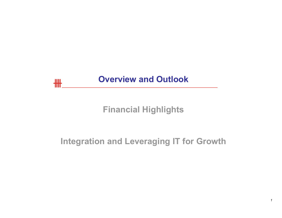

# Financial Highlights

# Integration and Leveraging IT for Growth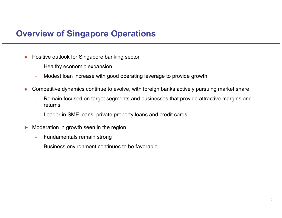## Overview of Singapore Operations

- $\blacktriangleright$  Positive outlook for Singapore banking sector
	- $\equiv$ Healthy economic expansion
	- $\equiv$ Modest loan increase with good operating leverage to provide growth
- $\blacktriangleright$  Competitive dynamics continue to evolve, with foreign banks actively pursuing market share
	- $\equiv$  Remain focused on target segments and businesses that provide attractive margins and returns
	- $\equiv$ Leader in SME loans, private property loans and credit cards
- $\blacktriangleright$  Moderation in growth seen in the region
	- $\equiv$ Fundamentals remain strong
	- $\equiv$ Business environment continues to be favorable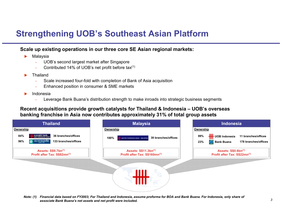# Strengthening UOB's Southeast Asian Platform

#### Scale up existing operations in our three core SE Asian regional markets:

- $\blacktriangleright$  Malaysia
	- UOB's second largest market after Singapore
	- Contributed 14% of UOB's net profit before tax(1)
- ▶ Thailand
	- $\equiv$ Scale increased four-fold with completion of Bank of Asia acquisition
	- Enhanced position in consumer & SME markets
- ▶ Indonesia
	- Leverage Bank Buana's distribution strength to make inroads into strategic business segments

#### Recent acquisitions provide growth catalysts for Thailand & Indonesia – UOB's overseas banking franchise in Asia now contributes approximately 31% of total group assets



Note: (1) Financial data based on FY2003; For Thailand and Indonesia, assume proforma for BOA and Bank Buana. For Indonesia, only share of associate Bank Buana's net assets and net profit were included.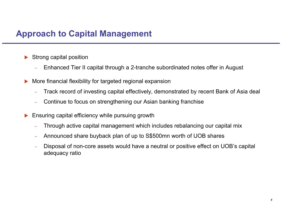# Approach to Capital Management

- $\blacktriangleright$  Strong capital position
	- Enhanced Tier II capital through a 2-tranche subordinated notes offer in August
- $\blacktriangleright$  More financial flexibility for targeted regional expansion
	- Track record of investing capital effectively, demonstrated by recent Bank of Asia deal
	- Continue to focus on strengthening our Asian banking franchise
- $\blacktriangleright$  Ensuring capital efficiency while pursuing growth
	- Through active capital management which includes rebalancing our capital mix
	- $\equiv$ Announced share buyback plan of up to S\$500mn worth of UOB shares
	- Disposal of non-core assets would have a neutral or positive effect on UOB's capital adequacy ratio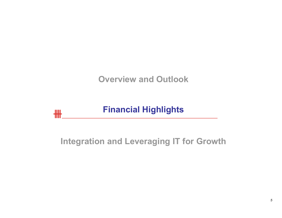Overview and Outlook

#### Financial Highlights卌

# Integration and Leveraging IT for Growth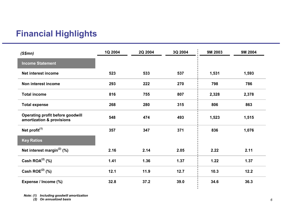# Financial Highlights

| (S\$mm)                                                       | 1Q 2004 | 2Q 2004 | 3Q 2004 | 9M 2003 | 9M 2004 |
|---------------------------------------------------------------|---------|---------|---------|---------|---------|
| <b>Income Statement</b>                                       |         |         |         |         |         |
| Net interest income                                           | 523     | 533     | 537     | 1,531   | 1,593   |
| Non interest income                                           | 293     | 222     | 270     | 798     | 786     |
| <b>Total income</b>                                           | 816     | 755     | 807     | 2,328   | 2,378   |
| <b>Total expense</b>                                          | 268     | 280     | 315     | 806     | 863     |
| Operating profit before goodwill<br>amortization & provisions | 548     | 474     | 493     | 1,523   | 1,515   |
| Net profit $(1)$                                              | 357     | 347     | 371     | 836     | 1,076   |
| <b>Key Ratios</b>                                             |         |         |         |         |         |
| Net interest margin $^{(2)}$ (%)                              | 2.16    | 2.14    | 2.05    | 2.22    | 2.11    |
| Cash $ROA^{(2)}$ (%)                                          | 1.41    | 1.36    | 1.37    | 1.22    | 1.37    |
| Cash ROE $^{(2)}$ (%)                                         | 12.1    | 11.9    | 12.7    | 10.3    | 12.2    |
| Expense / Income (%)                                          | 32.8    | 37.2    | 39.0    | 34.6    | 36.3    |

Note: (1) Including goodwill amortization (2) On annualized basis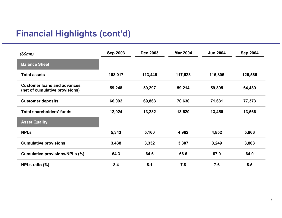# Financial Highlights (cont'd)

| (S\$mm)                                                              | <b>Sep 2003</b> | <b>Dec 2003</b> | <b>Mar 2004</b> | <b>Jun 2004</b> | <b>Sep 2004</b> |
|----------------------------------------------------------------------|-----------------|-----------------|-----------------|-----------------|-----------------|
| <b>Balance Sheet</b>                                                 |                 |                 |                 |                 |                 |
| <b>Total assets</b>                                                  | 108,017         | 113,446         | 117,523         | 116,805         | 126,566         |
| <b>Customer loans and advances</b><br>(net of cumulative provisions) | 59,248          | 59,297          | 59,214          | 59,895          | 64,489          |
| <b>Customer deposits</b>                                             | 66,092          | 69,863          | 70,630          | 71,631          | 77,373          |
| <b>Total shareholders' funds</b>                                     | 12,924          | 13,282          | 13,620          | 13,450          | 13,566          |
| <b>Asset Quality</b>                                                 |                 |                 |                 |                 |                 |
| <b>NPLs</b>                                                          | 5,343           | 5,160           | 4,962           | 4,852           | 5,866           |
| <b>Cumulative provisions</b>                                         | 3,438           | 3,332           | 3,307           | 3,249           | 3,808           |
| <b>Cumulative provisions/NPLs (%)</b>                                | 64.3            | 64.6            | 66.6            | 67.0            | 64.9            |
| NPLs ratio (%)                                                       | 8.4             | 8.1             | 7.8             | 7.6             | 8.5             |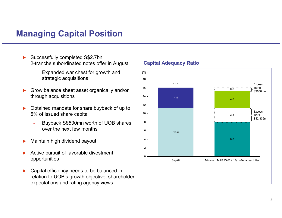### Managing Capital Position

- $\blacktriangleright$  Successfully completed S\$2.7bn 2-tranche subordinated notes offer in August
	- Expanded war chest for growth and strategic acquisitions
- $\blacktriangleright$  Grow balance sheet asset organically and/or through acquisitions
- $\blacktriangleright$  Obtained mandate for share buyback of up to 5% of issued share capital
	- Buyback S\$500mn worth of UOB shares over the next few months
- $\blacktriangleright$ Maintain high dividend payout
- $\blacktriangleright$  Active pursuit of favorable divestment opportunities
- $\blacktriangleright$  Capital efficiency needs to be balanced in relation to UOB's growth objective, shareholder expectations and rating agency views

#### Capital Adequacy Ratio

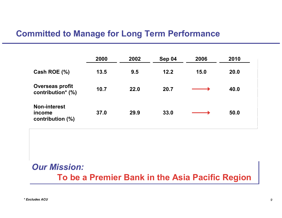#### Committed to Manage for Long Term Performance

|                                                   | 2000 | 2002 | Sep 04 | 2006 | 2010 |
|---------------------------------------------------|------|------|--------|------|------|
| Cash ROE $(\%)$                                   | 13.5 | 9.5  | 12.2   | 15.0 | 20.0 |
| <b>Overseas profit</b><br>contribution* (%)       | 10.7 | 22.0 | 20.7   |      | 40.0 |
| <b>Non-interest</b><br>income<br>contribution (%) | 37.0 | 29.9 | 33.0   |      | 50.0 |

# Our Mission:To be a Premier Bank in the Asia Pacific Region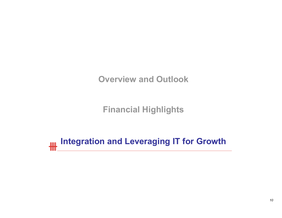Overview and Outlook

Financial Highlights

Integration and Leveraging IT for Growth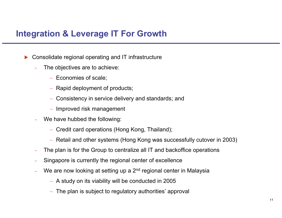## Integration & Leverage IT For Growth

- $\blacktriangleright$ ▶ Consolidate regional operating and IT infrastructure
	- The objectives are to achieve:
		- − Economies of scale;
		- − Rapid deployment of products;
		- − Consistency in service delivery and standards; and
		- − Improved risk management
	- We have hubbed the following:
		- − Credit card operations (Hong Kong, Thailand);
		- − Retail and other systems (Hong Kong was successfully cutover in 2003)
	- The plan is for the Group to centralize all IT and backoffice operations
	- Singapore is currently the regional center of excellence
	- We are now looking at setting up a 2<sup>nd</sup> regional center in Malaysia
		- − A study on its viability will be conducted in 2005
		- − The plan is subject to regulatory authorities' approval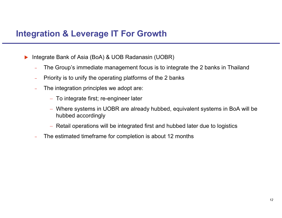## Integration & Leverage IT For Growth

- $\blacktriangleright$  Integrate Bank of Asia (BoA) & UOB Radanasin (UOBR)
	- The Group's immediate management focus is to integrate the 2 banks in Thailand
	- Priority is to unify the operating platforms of the 2 banks
	- The integration principles we adopt are:
		- − To integrate first; re-engineer later
		- − Where systems in UOBR are already hubbed, equivalent systems in BoA will be hubbed accordingly
		- − Retail operations will be integrated first and hubbed later due to logistics
	- The estimated timeframe for completion is about 12 months